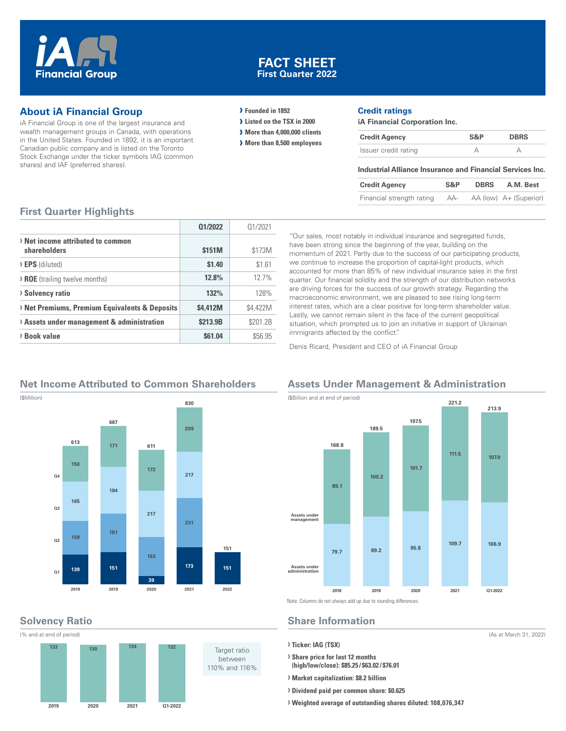

### **FACT SHEET First Quarter 2022**

### **About iA Financial Group**

iA Financial Group is one of the largest insurance and wealth management groups in Canada, with operations in the United States. Founded in 1892, it is an important Canadian public company and is listed on the Toronto Stock Exchange under the ticker symbols IAG (common shares) and IAF (preferred shares).

#### **› Founded in 1892**

- **› Listed on the TSX in 2000**
- **› More than 4,000,000 clients**
- **› More than 8,500 employees**

#### **Credit ratings**

**iA Financial Corporation Inc.**

| <b>Credit Agency</b> | S&P | <b>DBRS</b> |
|----------------------|-----|-------------|
| Issuer credit rating |     |             |

#### **Industrial Alliance Insurance and Financial Services Inc.**

| <b>Credit Agency</b>      | S&P | <b>DBRS</b> | A.M. Best              |
|---------------------------|-----|-------------|------------------------|
| Financial strength rating | AA- |             | AA (low) A+ (Superior) |

#### **First Quarter Highlights**

|                                                   | 01/2022  | 01/2021  |
|---------------------------------------------------|----------|----------|
| > Net income attributed to common<br>shareholders | \$151M   | \$173M   |
| $\triangleright$ <b>EPS</b> (diluted)             | \$1.40   | \$1.61   |
| <b>&gt; ROE</b> (trailing twelve months)          | 12.8%    | 12.7%    |
| <b>&gt; Solvency ratio</b>                        | 132%     | 128%     |
| > Net Premiums, Premium Equivalents & Deposits    | \$4.412M | \$4,422M |
| > Assets under management & administration        | \$213.9B | \$201.2B |
| > Book value                                      | \$61.04  | \$56.95  |

"Our sales, most notably in individual insurance and segregated funds, have been strong since the beginning of the year, building on the momentum of 2021. Partly due to the success of our participating products, we continue to increase the proportion of capital-light products, which accounted for more than 85% of new individual insurance sales in the first quarter. Our financial solidity and the strength of our distribution networks are driving forces for the success of our growth strategy. Regarding the macroeconomic environment, we are pleased to see rising long-term interest rates, which are a clear positive for long-term shareholder value. Lastly, we cannot remain silent in the face of the current geopolitical situation, which prompted us to join an initiative in support of Ukrainian immigrants affected by the conflict."

Denis Ricard, President and CEO of iA Financial Group

### **Net Income Attributed to Common Shareholders**



# **Solvency Ratio**



#### **Assets Under Management & Administration** (\$Billion and at end of period)



Note: Columns do not always add up due to rounding differences.

## **Share Information**

**› Ticker: IAG (TSX)**

**› Share price for last 12 months (high/low/close): \$85.25 / \$63.02 / \$76.01**

- **› Market capitalization: \$8.2 billion**
- **› Dividend paid per common share: \$0.625**
- **› Weighted average of outstanding shares diluted: 108,076,347**

(As at March 31, 2022)